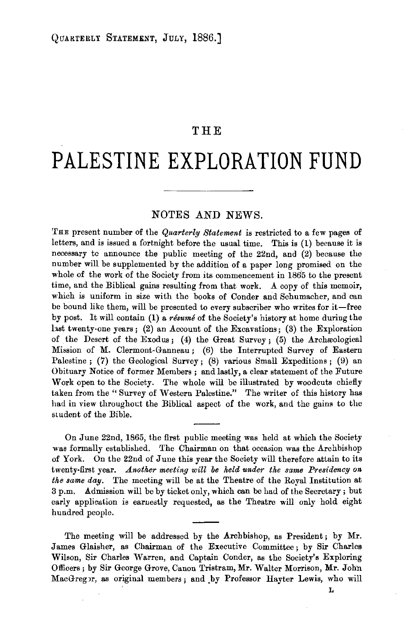## **THE**

## **PALESTINE EXPLORATION FUND**

## NOTES AND NEWS.

THE present number of the *Quarterly Statement* is restricted to a few pages of letters, and is issued a fortnight before the usual time. This is (1) because it is necessary tc announce the public meeting of the 22nd, and (2) because the number will be supplemented by the addition of a paper long promised on the whole of the work of the Society from its commencement in 1865 to the present time, and the Biblical gains resulting from that work. A copy of this memoir, which is uniform in size with the books of Conder and Schumacher, and can be bound like them, will be presented to every subscriber who writes for it-free by post. It will contain (1) a *resume* of the Society's history at home during the hast twenty-one years; (2) an Account of the Excavations; (3) the Exploration of the Desert of the Exodus; (4) the Great Survey; (5) the Archreological Mission of M. Clermont-Ganneau; (6) the Interrupted Survey of Eastern Palestine ; (7) the Geological Survey; (8) various Small Expeditions; (9) an Obituary Notice of former Members; and lastly, a clear statement of the Future Work open to the Society. The whole will be illustrated by woodcuts chiefly taken from the " Survey of Western Palestine." The writer of this history has had in view throughout the Biblical aspect of the work, and the gains to the student of the Bible.

On June 22nd, 1865, the first public meeting was held at which the Society was formally established. The Chairman on that occasion was the Archbishop of York. On the 22nd of June this year the Society will therefore attain to its twenty-first year. *Another meeting will be held under the same Presidency on the same day.* The meeting will be at the Theatre of the Royal Institution at 3 p.m. Admission will be by ticket only, which can be had of the Secretary ; but early application is earnestly requested, as the Theatre will only hold eight hundred people.

The meeting will be addressed by the Archbishop, as President; by Mr. James Glaisher, as Chairman of the Executive Committee; by Sir Charles Wilson, Sir Charles Warren, and Captain Conder, as the Society's Exploring Officers; by Sir George Grove, Canon Tristram, Mr. Walter Morrison, Mr. John MacGregpr, as original members; and by Professor Hayter Lewis, who will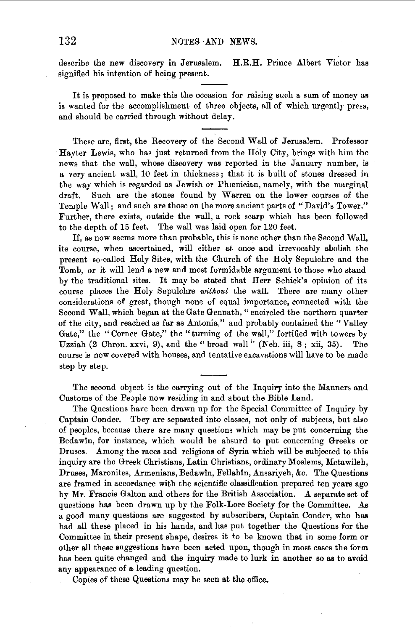describe the new discovery in Jerusalem. H.R.H. Prince Albert Victor has signified his intention of being present.

It is proposed to make this the occasion for raising such a sum of money as is wanted for the accomplishment of three objects, all of which urgently press, and should be carried through without delay.

These are, first, the Recovery of the Second Wall of Jerusalem. Professor Hayter Lewis, who has just returned from the Holy City, brings with him the news that the wall, whose discovery was reported in the January number, is a very ancient wall, 10 feet in thickness ; that it is built of stones dressed in the way which is regarded as Jewish or Phœnician, namely, with the marginal draft. Such are the stones found by Warren on the lower courses of the Temple Wall; and such are those on the more ancient parts of "David's Tower." Further, there exists, outside the wall, a rock scarp which has been followed to tbe depth of 15 feet. The wall was laid open for 120 feet.

If, as now seems more than probable, this is none other than the Second Wall, its course, when ascertained, will either at once and irrevocably abolish the present so-called Holy Sites, with the Church of the Holy Sepulchre and the Tomb, or it will lend a new and most formidable argument to those who stand by the traditional sites. It may be stated that Herr Schick's opinion of its course places the Holy Sepulchre *without* the wall. There are many other considerations of great, though none of equal importance, connected with the Second Wall, which began at the Gate Gennath, "encircled the northern quarter of the city, and reached as far as Antonia," and probably contained the" Valley Gate," the "Corner Gate," the "turning of the wall," fortified with towers by Uzziah (2 Chron. xxvi, 9), and the" broad wall" (Neh. iii, 8; xii, 35). The course is now covered with houses, and tentative excavations will have to be made step by step.

The second object is the carrying out of the Inquiry into the Manners and Customs of the People now residing in and about the Bible Land.

The Questions have been drawn up for the Special Committee of Inquiry by Captain Conder. Tbey are separated into classes, not only of subjects, but also of peoples, because there are many questions which may be put concerning the Bedawin, for instance, which would be absurd to put concerning Greeks or Druses. Among the races and religions of Syria which will be subjected to this inquiry are the Greek Christians, Latin Christians, ordinary Moslems, Metawileh, Druses, Maronites, Armenians, Bedawin, Fellahin, Ansariyeh, &c. The Questions are framed in accordance with the scientific classification prepared ten years ago by Mr. Francis Galton and others for the British Association. A separate set of questions has been drawn up by the Folk-Lore Society for the Committee. As a good many questions are suggested by subscribers, Captain Conder, who has had all these placed in his hands, and has put together the Questions for the Committee in their present shape, desires it to be known that in some form or other all these suggestions have been acted upon, though in most cases the form has been quite changed and the inquiry made to lurk in another so as to avoid any appearance of a leading question.

Copies of these Questions may be seen at the office.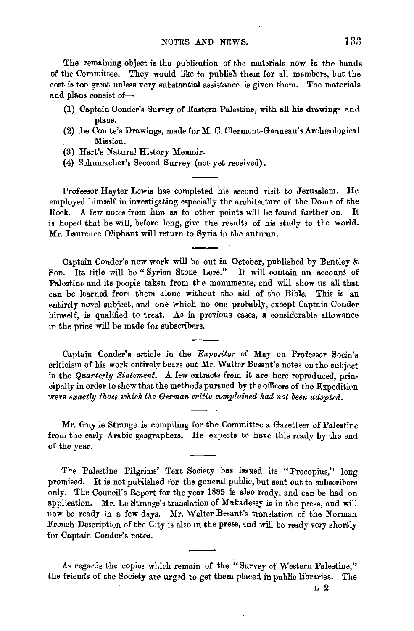The remaining object is the publication of the materials now in the hands of the Committee. They would like to publish them for all members, but the cost is too great unless very substantial assistance is given them. The materials and plans consist of-

- (1) Captain Conder's Survey of Eastern Palestine, with all his drawings and plans.
- (2) Le Comte's Drawings, made for M. C. Clermont-Ganneau's Archæological Mission.
- (3) Hart's Natural History Memoir.
- (4) Schumacher's Second Survey (not yet received).

Professor Hayter Lewis has completed his second visit to Jerusalem. He employed himself in investigating especially the architecture of the Dome of the Rock. A few notes from him as to other points will be found further on. It is hoped that he will, before long, give the results of his study to the world. Mr. Laurence Oliphant will return to Syria in the autumn.

Captain Conder's new work will be out in October, published by Bentley & Son. Its title will be " Syrian Stone Lore." It will contain an account of Palestine and its people taken from the monuments, and will show us all that can be learned from them alone without the aid of the Bible. This is an entirely novel subject, and one which no one probably, except Captain Conder himself, is qualified to treat. As in previous cases, a considerable allowance in the price will be made for subscribers.

Captain Conder's article in the *Expositor* of May on Professor Socin's criticism of his work entirely bears out Mr. Waiter Besant's notes on the subject in the *Quarterly Statement*. A few extracts from it are here reproduced, principally in order to show that the methods pursued by the officers of the Expedition were *exactly those which the German critic complained had not been adopted.* 

Mr. Guy le Strange is compiling for the Committee a Gazetteer of Palestine from the early Arabic geographers. He expects to have this ready by the end of the year.

The Palestine Pilgrims' Text Society has issued its "Procopius," long promised. It is not published for the general public, but sent out to subscribers only. The Council's Report for the year 1885 is also ready, and can be had on application. Mr. Le Strange's translation of Mukadessy is in the press, and will now be ready in a few days. Mr. Waiter Besant's translation of the Norman French Description of the City is also in the press, and will be ready very shortly for Captain Conder's notes.

As regards the copies which remain of the "Survey of Western Palestine," the friends of the Society are urged to get them placed in public libraries. The

L 2